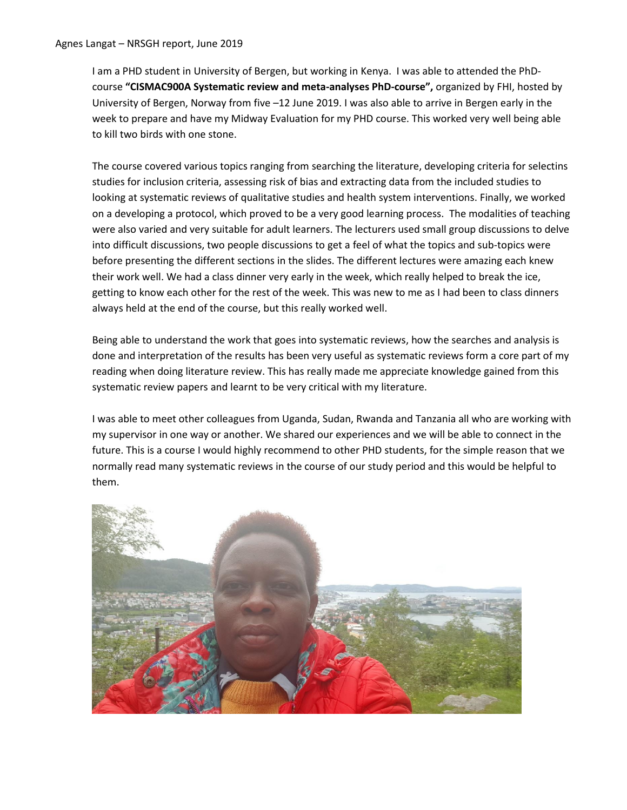I am a PHD student in University of Bergen, but working in Kenya. I was able to attended the PhDcourse **"CISMAC900A Systematic review and meta-analyses PhD-course",** organized by FHI, hosted by University of Bergen, Norway from five –12 June 2019. I was also able to arrive in Bergen early in the week to prepare and have my Midway Evaluation for my PHD course. This worked very well being able to kill two birds with one stone.

The course covered various topics ranging from searching the literature, developing criteria for selectins studies for inclusion criteria, assessing risk of bias and extracting data from the included studies to looking at systematic reviews of qualitative studies and health system interventions. Finally, we worked on a developing a protocol, which proved to be a very good learning process. The modalities of teaching were also varied and very suitable for adult learners. The lecturers used small group discussions to delve into difficult discussions, two people discussions to get a feel of what the topics and sub-topics were before presenting the different sections in the slides. The different lectures were amazing each knew their work well. We had a class dinner very early in the week, which really helped to break the ice, getting to know each other for the rest of the week. This was new to me as I had been to class dinners always held at the end of the course, but this really worked well.

Being able to understand the work that goes into systematic reviews, how the searches and analysis is done and interpretation of the results has been very useful as systematic reviews form a core part of my reading when doing literature review. This has really made me appreciate knowledge gained from this systematic review papers and learnt to be very critical with my literature.

I was able to meet other colleagues from Uganda, Sudan, Rwanda and Tanzania all who are working with my supervisor in one way or another. We shared our experiences and we will be able to connect in the future. This is a course I would highly recommend to other PHD students, for the simple reason that we normally read many systematic reviews in the course of our study period and this would be helpful to them.